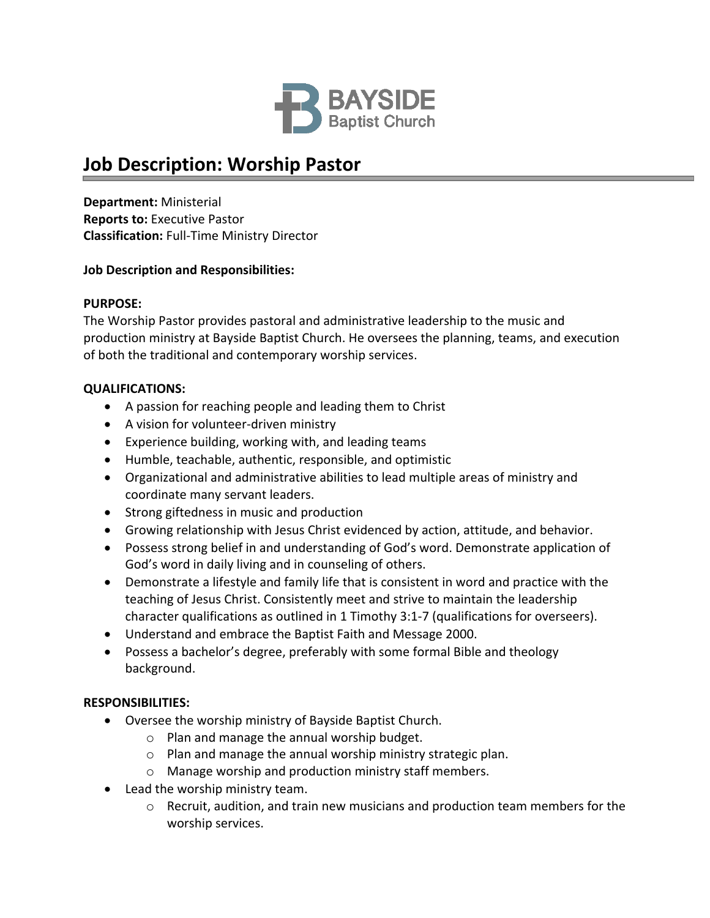

# **Job Description: Worship Pastor**

**Department:** Ministerial **Reports to:** Executive Pastor **Classification:** Full-Time Ministry Director

## **Job Description and Responsibilities:**

#### **PURPOSE:**

The Worship Pastor provides pastoral and administrative leadership to the music and production ministry at Bayside Baptist Church. He oversees the planning, teams, and execution of both the traditional and contemporary worship services.

## **QUALIFICATIONS:**

- A passion for reaching people and leading them to Christ
- A vision for volunteer-driven ministry
- Experience building, working with, and leading teams
- Humble, teachable, authentic, responsible, and optimistic
- Organizational and administrative abilities to lead multiple areas of ministry and coordinate many servant leaders.
- Strong giftedness in music and production
- Growing relationship with Jesus Christ evidenced by action, attitude, and behavior.
- Possess strong belief in and understanding of God's word. Demonstrate application of God's word in daily living and in counseling of others.
- Demonstrate a lifestyle and family life that is consistent in word and practice with the teaching of Jesus Christ. Consistently meet and strive to maintain the leadership character qualifications as outlined in 1 Timothy 3:1‐7 (qualifications for overseers).
- Understand and embrace the Baptist Faith and Message 2000.
- Possess a bachelor's degree, preferably with some formal Bible and theology background.

# **RESPONSIBILITIES:**

- Oversee the worship ministry of Bayside Baptist Church.
	- o Plan and manage the annual worship budget.
	- o Plan and manage the annual worship ministry strategic plan.
	- o Manage worship and production ministry staff members.
- Lead the worship ministry team.
	- $\circ$  Recruit, audition, and train new musicians and production team members for the worship services.